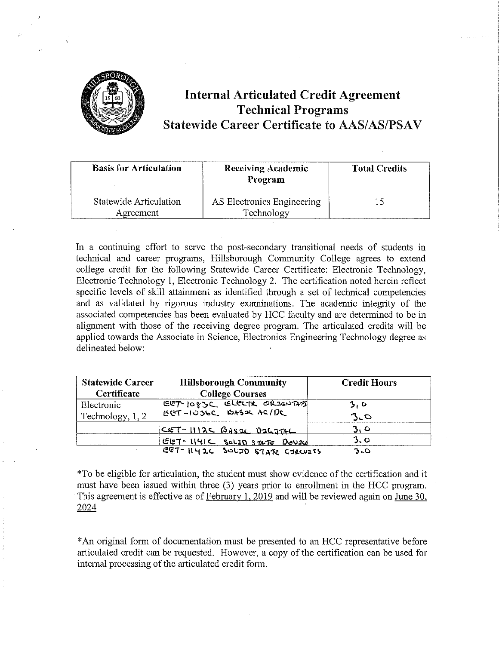

## **Internal Articulated Credit Agreement Technical Programs Statewide Career Certificate to AAS/AS/PSAV**

| <b>Basis for Articulation</b>       | <b>Receiving Academic</b><br>Program     | <b>Total Credits</b> |
|-------------------------------------|------------------------------------------|----------------------|
| Statewide Articulation<br>Agreement | AS Electronics Engineering<br>Technology |                      |

In a continuing effort to serve the post-secondary transitional needs of students in technical and career programs, Hillsborough Community College agrees to extend college credit for the following Statewide Career Certificate: Electronic Technology, Electronic Technology 1, Electronic Technology 2. The certification noted herein reflect specific levels of skill attainment as identified through a set of technical competencies and as validated by rigorous industry examinations. The academic integrity of the associated competencies has been evaluated by HCC faculty and are determined to be in alignment with those of the receiving degree program. The articulated credits will be applied towards the Associate in Science, Electronics Engineering Technology degree as delineated below:

| <b>Statewide Career</b> | <b>Hillsborough Community</b>  | <b>Credit Hours</b> |
|-------------------------|--------------------------------|---------------------|
| Certificate             | <b>College Courses</b>         |                     |
| Electronic              | EGT-1083C ELGETR ORZENTAM      | 3, D                |
| Technology, 1, 2        | EGT-1036C BASOC AC/DC          | $3-c$               |
|                         | CET-1112C BASEL DELGTAL        | 3.0                 |
|                         | GET-1141C SOLID STATE DOUZE    | 3.0                 |
|                         | EGT-1142C SOLID STATE CIRCUITS | 3.0                 |

\*To be eligible for articulation, the student must show evidence of the certification and it must have been issued within three (3) years prior to emollment in the HCC program. This agreement is effective as of February I, 2019 and will be reviewed again on June 30, 2024

\* An original form of documentation must be presented to an HCC representative before articulated credit can be requested. However, a copy of the certification can be used for internal processing of the articulated credit form.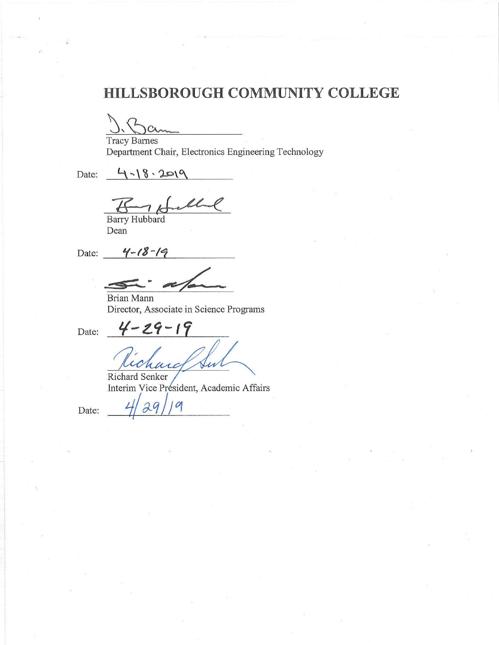# **HILLSBOROUGH COMMUNITY COLLEGE**

Tracy Barnes Department Chair, Electronics Engineering Technology

Date:

 $7.18.2019$ 

Barry Hubbard Dean

Date: *''4-18-19* 

Brian Mann Director, Associate in Science Programs

Date:

 $4 - 29 - 19$ Richard Senker

Interim Vice Président, Academic Affairs

Date:  $4/29/19$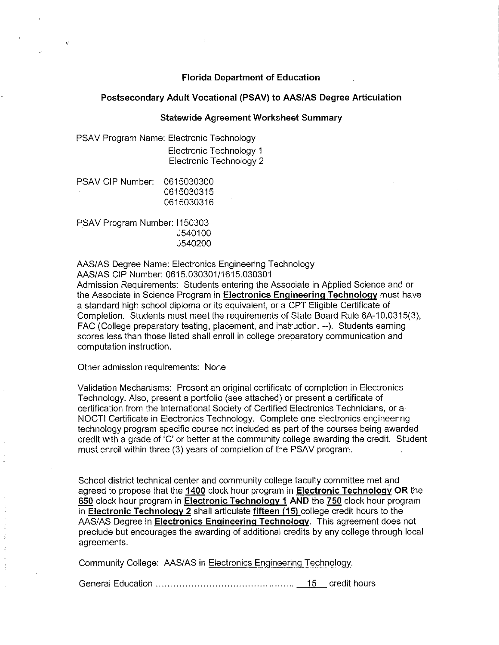#### **Florida Department of Education**

#### **Postsecondary Adult Vocational (PSAV) to AAS/AS Degree Articulation**

#### **Statewide Agreement Worksheet Summary**

PSAV Program Name: Electronic Technology Electronic Technology 1 Electronic Technology 2

PSAV CIP Number: 0615030300 0615030315 0615030316

 $\mathcal{V}_1$ 

PSAV Program Number: 1150303 J540100 J540200

AAS/AS Degree Name: Electronics Engineering Technology

AAS/AS CIP Number: 0615.030301/1615.030301

Admission Requirements: Students entering the Associate in Applied Science and or the Associate in Science Program in **Electronics Engineering Technology** must have a standard high school diploma or its equivalent, or a CPT Eligible Certificate of Completion. Students must meet the requirements of State Board Rule 6A-10.0315(3), FAC (College preparatory testing, placement, and instruction. --). Students earning scores less than those listed shall enroll in college preparatory communication and computation instruction.

Other admission requirements: None

Validation Mechanisms: Present an original certificate of completion in Electronics Technology. Also, present a portfolio (see attached) or present a certificate of certification from the International Society of Certified Electronics Technicians, or a NOCTI Certificate in Electronics Technology. Complete one electronics engineering technology program specific course not included as part of the courses being awarded credit with a grade of 'C' or better at the community college awarding the credit. Student must.enroll within three (3) years of completion of the PSAV program.

School district technical center and community college faculty committee met and agreed to propose that the **1400** clock hour program in **Electronic Technology OR** the **650** clock hour program in **Electronic Technology 1 AND** the **750** clock hour program in **Electronic Technology 2** shall articulate **fifteen (15)** college credit hours to the AAS/AS Degree in **Electronics Engineering Technology.** This agreement does not preclude but encourages the awarding of additional credits by any college through local agreements.

Community College: AAS/AS in Electronics Engineering Technology.

General Education . . . . . . . . . . . . . . . . . . . . . . . . . . . . . . . . . . . . . . . . . . . . . .. 15 credit hours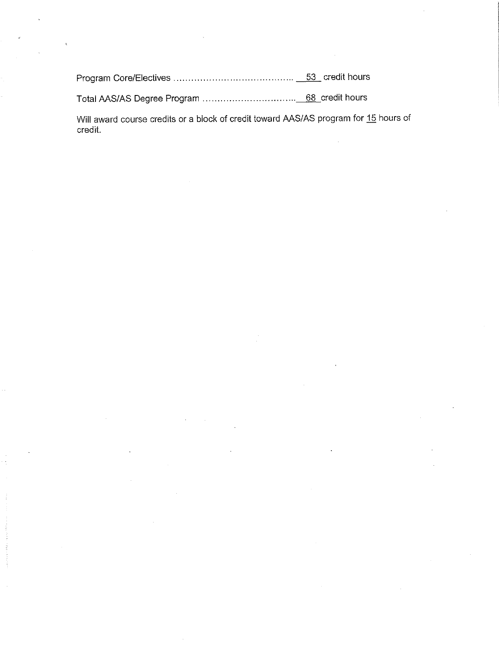Program Core/Electives ......................................... \_\_\_§}\_ credit hours

Total AAS/AS Degree Program ................................ \_\_\_\_§§\_credit hours

Will award course credits or a block of credit toward AAS/AS program for 15 hours of credit.